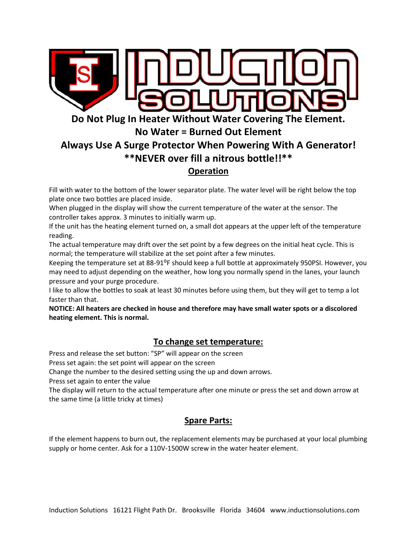

Fill with water to the bottom of the lower separator plate. The water level will be right below the top plate once two bottles are placed inside.

When plugged in the display will show the current temperature of the water at the sensor. The controller takes approx. 3 minutes to initially warm up.

If the unit has the heating element turned on, a small dot appears at the upper left of the temperature reading.

The actual temperature may drift over the set point by a few degrees on the initial heat cycle. This is normal; the temperature will stabilize at the set point after a few minutes.

Keeping the temperature set at 88-91<sup>o</sup>F should keep a full bottle at approximately 950PSI. However, you may need to adjust depending on the weather, how long you normally spend in the lanes, your launch pressure and your purge procedure.

I like to allow the bottles to soak at least 30 minutes before using them, but they will get to temp a lot faster than that.

**NOTICE: All heaters are checked in house and therefore may have small water spots or a discolored heating element. This is normal.**

## **To change set temperature:**

Press and release the set button: "SP" will appear on the screen

Press set again: the set point will appear on the screen

Change the number to the desired setting using the up and down arrows.

Press set again to enter the value

The display will return to the actual temperature after one minute or press the set and down arrow at the same time (a little tricky at times)

## **Spare Parts:**

If the element happens to burn out, the replacement elements may be purchased at your local plumbing supply or home center. Ask for a 110V-1500W screw in the water heater element.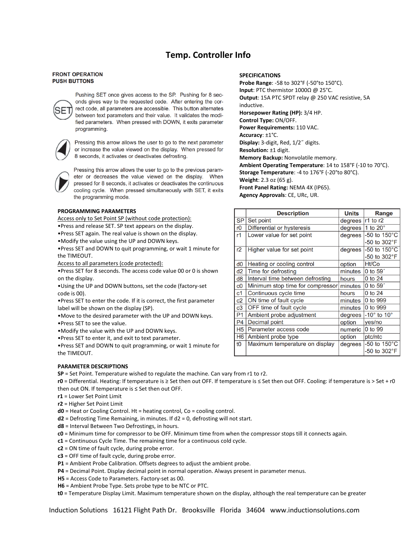## **Temp. Controller Info**

#### **FRONT OPERATION PUSH BUTTONS**



Pushing SET once gives access to the SP. Pushing for 8 seconds gives way to the requested code. After entering the correct code, all parameters are accessible. This button alternates between text parameters and their value. It validates the modified parameters. When pressed with DOWN, it exits parameter programming.



Pressing this arrow allows the user to go to the next parameter or increase the value viewed on the display. When pressed for 8 seconds, it activates or deactivates defrosting.

Pressing this arrow allows the user to go to the previous parameter or decreases the value viewed on the display. When pressed for 8 seconds, it activates or deactivates the continuous cooling cycle. When pressed simultaneously with SET, it exits the programming mode.

#### **PROGRAMMING PARAMETERS**

Access only to Set Point SP (without code protection):

- •Press and release SET. SP text appears on the display.
- •Press SET again. The real value is shown on the display.
- •Modify the value using the UP and DOWN keys.

•Press SET and DOWN to quit programming, or wait 1 minute for the TIMEOUT.

Access to all parameters (code protected):

•Press SET for 8 seconds. The access code value 00 or 0 is shown on the display.

•Using the UP and DOWN buttons, set the code (factory-set code is 00).

•Press SET to enter the code. If it is correct, the first parameter label will be shown on the display (SP).

- •Move to the desired parameter with the UP and DOWN keys.
- •Press SET to see the value.
- •Modify the value with the UP and DOWN keys.
- •Press SET to enter it, and exit to text parameter.

•Press SET and DOWN to quit programming, or wait 1 minute for the TIMEOUT.

#### **PARAMETER DESCRIPTIONS**

**SP** = Set Point. Temperature wished to regulate the machine. Can vary from r1 to r2.

**r0** = Differential. Heating: If temperature is ≥ Set then out OFF. If temperature is ≤ Set then out OFF. Cooling: if temperature is > Set + r0 then out ON. If temperature is ≤ Set then out OFF.

- **r1** = Lower Set Point Limit
- **r2** = Higher Set Point Limit
- **d0** = Heat or Cooling Control. Ht = heating control, Co = cooling control.
- **d2** = Defrosting Time Remaining, in minutes. If d2 = 0, defrosting will not start.
- **d8** = Interval Between Two Defrostings, in hours.
- **c0** = Minimum time for compressor to be OFF. Minimum time from when the compressor stops till it connects again.

**c1** = Continuous Cycle Time. The remaining time for a continuous cold cycle.

- **c2** = ON time of fault cycle, during probe error.
- **c3** = OFF time of fault cycle, during probe error.
- **P1** = Ambient Probe Calibration. Offsets degrees to adjust the ambient probe.
- **P4** = Decimal Point. Display decimal point in normal operation. Always present in parameter menus.
- **H5** = Access Code to Parameters. Factory-set as 00.
- **H6** = Ambient Probe Type. Sets probe type to be NTC or PTC.

**t0** = Temperature Display Limit. Maximum temperature shown on the display, although the real temperature can be greater

#### **SPECIFICATIONS**

**Probe Range**: -58 to 302°F (-50°to 150°C). **Input**: PTC thermistor 1000Ω @ 25°C. **Output**: 15A PTC SPDT relay @ 250 VAC resistive, 5A inductive. **Horsepower Rating (HP):** 3/4 HP. **Control Type:** ON/OFF. **Power Requirements:** 110 VAC. **Accuracy**: ±1°C. **Display:** 3-digit, Red, 1/2˝ digits. **Resolution:** ±1 digit. **Memory Backup:** Nonvolatile memory. **Ambient Operating Temperature**: 14 to 158°F (-10 to 70°C). **Storage Temperature**: -4 to 176°F (-20°to 80°C). **Weight**: 2.3 oz (65 g). **Front Panel Rating:** NEMA 4X (IP65). **Agency Approvals**: CE, URc, UR.

|                        | <b>Description</b>               | <b>Units</b> | Range                         |
|------------------------|----------------------------------|--------------|-------------------------------|
| $\overline{\text{SP}}$ | Set point                        | degrees      | $ r1$ to r2                   |
| l r0                   | Differential or hysteresis       | degrees      | 1 to $20^\circ$               |
| l r1                   | Lower value for set point        | degrees      | -50 to $150^{\circ}$ C        |
|                        |                                  |              | $-50$ to $302^{\circ}F$       |
| l r2                   | Higher value for set point       | degrees      | -50 to $150^{\circ}$ C        |
|                        |                                  |              | -50 to $302^{\circ}F$         |
| $\vert$ d <sub>0</sub> | Heating or cooling control       | option       | Ht/Co                         |
| $\vert$ d2             | Time for defrosting              | minutes      | $0$ to $59'$                  |
| $\vert$ d8             | Interval time between defrosting | hours        | 0 to 24                       |
| l c0                   | Minimum stop time for compressor | minutes      | $0$ to $59'$                  |
| l c1                   | Continuous cycle time            | hours        | 0 to 24                       |
| c2                     | ON time of fault cycle           | minutes      | 0 to 999                      |
| c3                     | OFF time of fault cycle          | minutes      | 0 to 999                      |
| $\mathsf{P}1$          | Ambient probe adjustment         | degrees      | $-10^{\circ}$ to $10^{\circ}$ |
| l P4                   | Decimal point                    | option       | yes/no                        |
| H5                     | Parameter access code            | numeric      | 0 to 99                       |
| H6                     | Ambient probe type               | option       | ptc/ntc                       |
| l tO                   | Maximum temperature on display   | degrees      | -50 to $150^{\circ}$ C        |
|                        |                                  |              | $-50$ to $302^{\circ}F$       |

Induction Solutions 16121 Flight Path Dr. Brooksville Florida 34604 www.inductionsolutions.com